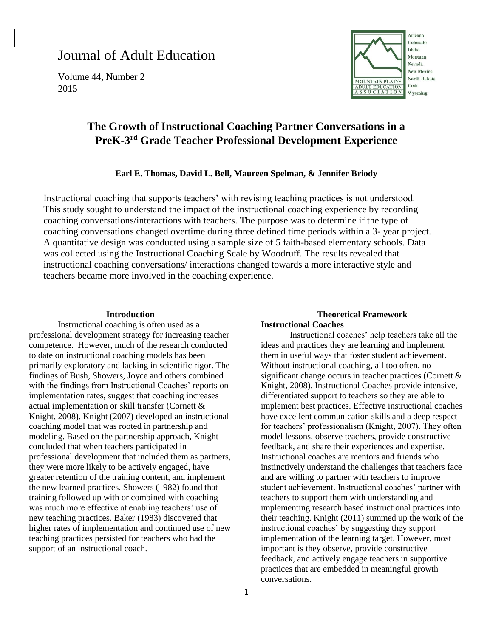# Journal of Adult Education

Volume 44, Number 2 2015



# **The Growth of Instructional Coaching Partner Conversations in a PreK-3 rd Grade Teacher Professional Development Experience**

# **Earl E. Thomas, David L. Bell, Maureen Spelman, & Jennifer Briody**

Instructional coaching that supports teachers' with revising teaching practices is not understood. This study sought to understand the impact of the instructional coaching experience by recording coaching conversations/interactions with teachers. The purpose was to determine if the type of coaching conversations changed overtime during three defined time periods within a 3- year project. A quantitative design was conducted using a sample size of 5 faith-based elementary schools. Data was collected using the Instructional Coaching Scale by Woodruff. The results revealed that instructional coaching conversations/ interactions changed towards a more interactive style and teachers became more involved in the coaching experience.

#### **Introduction**

Instructional coaching is often used as a professional development strategy for increasing teacher competence. However, much of the research conducted to date on instructional coaching models has been primarily exploratory and lacking in scientific rigor. The findings of Bush, Showers, Joyce and others combined with the findings from Instructional Coaches' reports on implementation rates, suggest that coaching increases actual implementation or skill transfer (Cornett & Knight, 2008). Knight (2007) developed an instructional coaching model that was rooted in partnership and modeling. Based on the partnership approach, Knight concluded that when teachers participated in professional development that included them as partners, they were more likely to be actively engaged, have greater retention of the training content, and implement the new learned practices. Showers (1982) found that training followed up with or combined with coaching was much more effective at enabling teachers' use of new teaching practices. Baker (1983) discovered that higher rates of implementation and continued use of new teaching practices persisted for teachers who had the support of an instructional coach.

#### **Theoretical Framework Instructional Coaches**

Instructional coaches' help teachers take all the ideas and practices they are learning and implement them in useful ways that foster student achievement. Without instructional coaching, all too often, no significant change occurs in teacher practices (Cornett & Knight, 2008). Instructional Coaches provide intensive, differentiated support to teachers so they are able to implement best practices. Effective instructional coaches have excellent communication skills and a deep respect for teachers' professionalism (Knight, 2007). They often model lessons, observe teachers, provide constructive feedback, and share their experiences and expertise. Instructional coaches are mentors and friends who instinctively understand the challenges that teachers face and are willing to partner with teachers to improve student achievement. Instructional coaches' partner with teachers to support them with understanding and implementing research based instructional practices into their teaching. Knight (2011) summed up the work of the instructional coaches' by suggesting they support implementation of the learning target. However, most important is they observe, provide constructive feedback, and actively engage teachers in supportive practices that are embedded in meaningful growth conversations.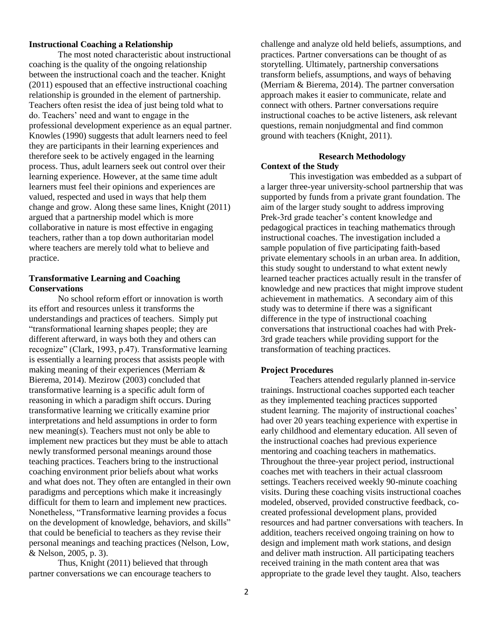# **Instructional Coaching a Relationship**

The most noted characteristic about instructional coaching is the quality of the ongoing relationship between the instructional coach and the teacher. Knight (2011) espoused that an effective instructional coaching relationship is grounded in the element of partnership. Teachers often resist the idea of just being told what to do. Teachers' need and want to engage in the professional development experience as an equal partner. Knowles (1990) suggests that adult learners need to feel they are participants in their learning experiences and therefore seek to be actively engaged in the learning process. Thus, adult learners seek out control over their learning experience. However, at the same time adult learners must feel their opinions and experiences are valued, respected and used in ways that help them change and grow. Along these same lines, Knight (2011) argued that a partnership model which is more collaborative in nature is most effective in engaging teachers, rather than a top down authoritarian model where teachers are merely told what to believe and practice.

# **Transformative Learning and Coaching Conservations**

No school reform effort or innovation is worth its effort and resources unless it transforms the understandings and practices of teachers. Simply put "transformational learning shapes people; they are different afterward, in ways both they and others can recognize" (Clark, 1993, p.47). Transformative learning is essentially a learning process that assists people with making meaning of their experiences (Merriam & Bierema, 2014). Mezirow (2003) concluded that transformative learning is a specific adult form of reasoning in which a paradigm shift occurs. During transformative learning we critically examine prior interpretations and held assumptions in order to form new meaning(s). Teachers must not only be able to implement new practices but they must be able to attach newly transformed personal meanings around those teaching practices. Teachers bring to the instructional coaching environment prior beliefs about what works and what does not. They often are entangled in their own paradigms and perceptions which make it increasingly difficult for them to learn and implement new practices. Nonetheless, "Transformative learning provides a focus on the development of knowledge, behaviors, and skills" that could be beneficial to teachers as they revise their personal meanings and teaching practices (Nelson, Low, & Nelson, 2005, p. 3).

Thus, Knight (2011) believed that through partner conversations we can encourage teachers to challenge and analyze old held beliefs, assumptions, and practices. Partner conversations can be thought of as storytelling. Ultimately, partnership conversations transform beliefs, assumptions, and ways of behaving (Merriam & Bierema, 2014). The partner conversation approach makes it easier to communicate, relate and connect with others. Partner conversations require instructional coaches to be active listeners, ask relevant questions, remain nonjudgmental and find common ground with teachers (Knight, 2011).

#### **Research Methodology Context of the Study**

This investigation was embedded as a subpart of a larger three-year university-school partnership that was supported by funds from a private grant foundation. The aim of the larger study sought to address improving Prek-3rd grade teacher's content knowledge and pedagogical practices in teaching mathematics through instructional coaches. The investigation included a sample population of five participating faith-based private elementary schools in an urban area. In addition, this study sought to understand to what extent newly learned teacher practices actually result in the transfer of knowledge and new practices that might improve student achievement in mathematics. A secondary aim of this study was to determine if there was a significant difference in the type of instructional coaching conversations that instructional coaches had with Prek-3rd grade teachers while providing support for the transformation of teaching practices.

#### **Project Procedures**

Teachers attended regularly planned in-service trainings. Instructional coaches supported each teacher as they implemented teaching practices supported student learning. The majority of instructional coaches' had over 20 years teaching experience with expertise in early childhood and elementary education. All seven of the instructional coaches had previous experience mentoring and coaching teachers in mathematics. Throughout the three-year project period, instructional coaches met with teachers in their actual classroom settings. Teachers received weekly 90-minute coaching visits. During these coaching visits instructional coaches modeled, observed, provided constructive feedback, cocreated professional development plans, provided resources and had partner conversations with teachers. In addition, teachers received ongoing training on how to design and implement math work stations, and design and deliver math instruction. All participating teachers received training in the math content area that was appropriate to the grade level they taught. Also, teachers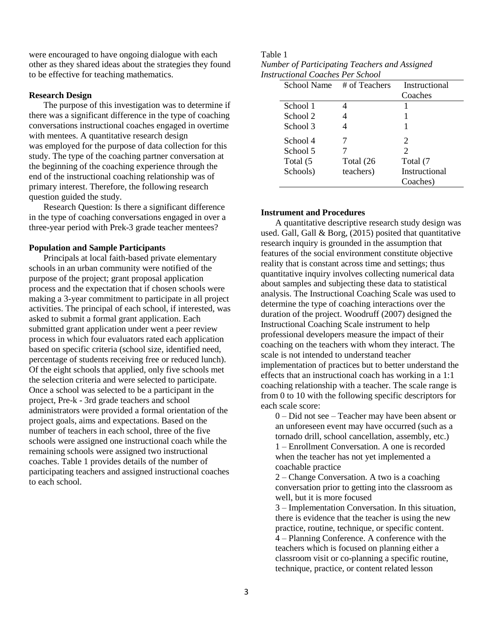were encouraged to have ongoing dialogue with each other as they shared ideas about the strategies they found to be effective for teaching mathematics.

#### **Research Design**

The purpose of this investigation was to determine if there was a significant difference in the type of coaching conversations instructional coaches engaged in overtime with mentees. A quantitative research design was employed for the purpose of data collection for this study. The type of the coaching partner conversation at the beginning of the coaching experience through the end of the instructional coaching relationship was of primary interest. Therefore, the following research question guided the study.

Research Question: Is there a significant difference in the type of coaching conversations engaged in over a three-year period with Prek-3 grade teacher mentees?

# **Population and Sample Participants**

Principals at local faith-based private elementary schools in an urban community were notified of the purpose of the project; grant proposal application process and the expectation that if chosen schools were making a 3-year commitment to participate in all project activities. The principal of each school, if interested, was asked to submit a formal grant application. Each submitted grant application under went a peer review process in which four evaluators rated each application based on specific criteria (school size, identified need, percentage of students receiving free or reduced lunch). Of the eight schools that applied, only five schools met the selection criteria and were selected to participate. Once a school was selected to be a participant in the project, Pre-k - 3rd grade teachers and school administrators were provided a formal orientation of the project goals, aims and expectations. Based on the number of teachers in each school, three of the five schools were assigned one instructional coach while the remaining schools were assigned two instructional coaches. Table 1 provides details of the number of participating teachers and assigned instructional coaches to each school.

#### Table 1 *Number of Participating Teachers and Assigned Instructional Coaches Per School*

|           | Instructional                |
|-----------|------------------------------|
|           | Coaches                      |
| 4         |                              |
|           |                              |
|           |                              |
|           | 2                            |
|           | $\mathfrak{D}$               |
| Total (26 | Total (7                     |
| teachers) | Instructional                |
|           | Coaches)                     |
|           | # of Teachers<br>School Name |

# **Instrument and Procedures**

A quantitative descriptive research study design was used. Gall, Gall  $\&$  Borg, (2015) posited that quantitative research inquiry is grounded in the assumption that features of the social environment constitute objective reality that is constant across time and settings; thus quantitative inquiry involves collecting numerical data about samples and subjecting these data to statistical analysis. The Instructional Coaching Scale was used to determine the type of coaching interactions over the duration of the project. Woodruff (2007) designed the Instructional Coaching Scale instrument to help professional developers measure the impact of their coaching on the teachers with whom they interact. The scale is not intended to understand teacher implementation of practices but to better understand the effects that an instructional coach has working in a 1:1 coaching relationship with a teacher. The scale range is from 0 to 10 with the following specific descriptors for each scale score:

0 – Did not see – Teacher may have been absent or an unforeseen event may have occurred (such as a tornado drill, school cancellation, assembly, etc.) 1 – Enrollment Conversation. A one is recorded when the teacher has not yet implemented a coachable practice

2 – Change Conversation. A two is a coaching conversation prior to getting into the classroom as well, but it is more focused

3 – Implementation Conversation. In this situation, there is evidence that the teacher is using the new practice, routine, technique, or specific content. 4 – Planning Conference. A conference with the teachers which is focused on planning either a classroom visit or co-planning a specific routine, technique, practice, or content related lesson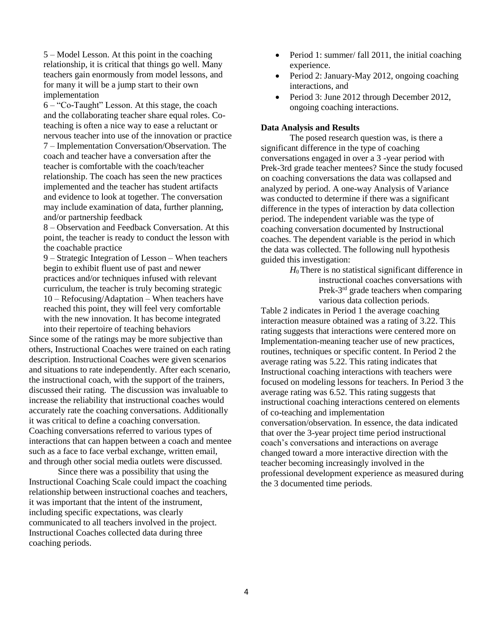5 – Model Lesson. At this point in the coaching relationship, it is critical that things go well. Many teachers gain enormously from model lessons, and for many it will be a jump start to their own implementation

6 – "Co-Taught" Lesson. At this stage, the coach and the collaborating teacher share equal roles. Coteaching is often a nice way to ease a reluctant or nervous teacher into use of the innovation or practice 7 – Implementation Conversation/Observation. The coach and teacher have a conversation after the teacher is comfortable with the coach/teacher relationship. The coach has seen the new practices implemented and the teacher has student artifacts and evidence to look at together. The conversation may include examination of data, further planning, and/or partnership feedback

8 – Observation and Feedback Conversation. At this point, the teacher is ready to conduct the lesson with the coachable practice

9 – Strategic Integration of Lesson – When teachers begin to exhibit fluent use of past and newer practices and/or techniques infused with relevant curriculum, the teacher is truly becoming strategic 10 – Refocusing/Adaptation – When teachers have reached this point, they will feel very comfortable with the new innovation. It has become integrated into their repertoire of teaching behaviors

Since some of the ratings may be more subjective than others, Instructional Coaches were trained on each rating description. Instructional Coaches were given scenarios and situations to rate independently. After each scenario, the instructional coach, with the support of the trainers, discussed their rating. The discussion was invaluable to increase the reliability that instructional coaches would accurately rate the coaching conversations. Additionally it was critical to define a coaching conversation. Coaching conversations referred to various types of interactions that can happen between a coach and mentee such as a face to face verbal exchange, written email, and through other social media outlets were discussed.

Since there was a possibility that using the Instructional Coaching Scale could impact the coaching relationship between instructional coaches and teachers, it was important that the intent of the instrument, including specific expectations, was clearly communicated to all teachers involved in the project. Instructional Coaches collected data during three coaching periods.

- Period 1: summer/ fall 2011, the initial coaching experience.
- Period 2: January-May 2012, ongoing coaching interactions, and
- Period 3: June 2012 through December 2012, ongoing coaching interactions.

## **Data Analysis and Results**

The posed research question was, is there a significant difference in the type of coaching conversations engaged in over a 3 -year period with Prek-3rd grade teacher mentees? Since the study focused on coaching conversations the data was collapsed and analyzed by period. A one-way Analysis of Variance was conducted to determine if there was a significant difference in the types of interaction by data collection period. The independent variable was the type of coaching conversation documented by Instructional coaches. The dependent variable is the period in which the data was collected. The following null hypothesis guided this investigation:

*H*0 There is no statistical significant difference in instructional coaches conversations with Prek-3<sup>rd</sup> grade teachers when comparing various data collection periods.

Table 2 indicates in Period 1 the average coaching interaction measure obtained was a rating of 3.22. This rating suggests that interactions were centered more on Implementation-meaning teacher use of new practices, routines, techniques or specific content. In Period 2 the average rating was 5.22. This rating indicates that Instructional coaching interactions with teachers were focused on modeling lessons for teachers. In Period 3 the average rating was 6.52. This rating suggests that instructional coaching interactions centered on elements of co-teaching and implementation conversation/observation. In essence, the data indicated that over the 3-year project time period instructional coach's conversations and interactions on average changed toward a more interactive direction with the teacher becoming increasingly involved in the professional development experience as measured during the 3 documented time periods.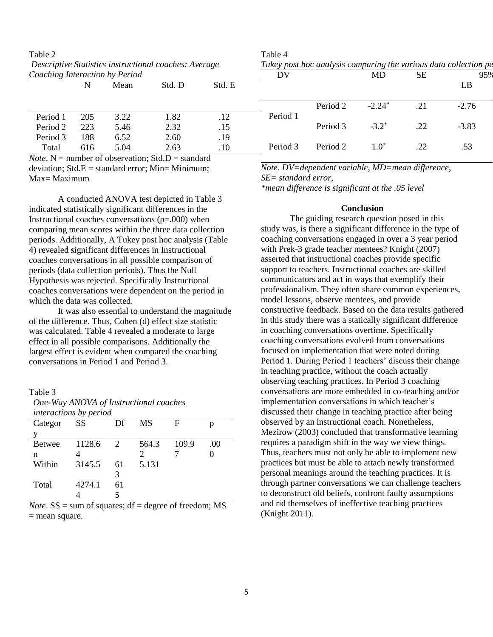| 1 able 2                                                                                |     |      |                                                                  |         | 1 able 4 |           |               |     |         |
|-----------------------------------------------------------------------------------------|-----|------|------------------------------------------------------------------|---------|----------|-----------|---------------|-----|---------|
| Descriptive Statistics instructional coaches: Average<br>Coaching Interaction by Period |     |      | Tukey post hoc analysis comparing the various data collection pe |         |          |           |               |     |         |
|                                                                                         |     |      | DV                                                               |         | MD       | <b>SE</b> | 95%           |     |         |
|                                                                                         | N   | Mean | Std. D                                                           | Std. E  |          |           |               |     | LB      |
|                                                                                         |     |      |                                                                  |         |          | Period 2  | $-2.24*$      | .21 | $-2.76$ |
| Period 1                                                                                | 205 | 3.22 | 1.82                                                             | .12     | Period 1 |           |               |     |         |
| Period 2                                                                                | 223 | 5.46 | 2.32                                                             | .15     |          | Period 3  | $-3.2^*$      | .22 | $-3.83$ |
| Period 3                                                                                | 188 | 6.52 | 2.60                                                             | .19     |          |           |               |     |         |
| Total                                                                                   | 616 | 5.04 | 2.63                                                             | $.10\,$ | Period 3 | Period 2  | $1.0^{\circ}$ | .22 | .53     |
|                                                                                         |     |      | <i>Note</i> $N =$ number of observation: Std $D =$ standard      |         |          |           |               |     |         |

 $T_1$  1 1 4

| Table 2                                                      |  |
|--------------------------------------------------------------|--|
| <i>Descriptive Statistics instructional coaches: Average</i> |  |
| Coaching Interaction by Period                               |  |

| <i>Note</i> . N = number of observation; $Std.D = standard$ |
|-------------------------------------------------------------|
| deviation; $Std.E = standard error$ ; $Min = Minimum$ ;     |
| Max= Maximum                                                |

A conducted ANOVA test depicted in Table 3 indicated statistically significant differences in the Instructional coaches conversations  $(p=000)$  when comparing mean scores within the three data collection periods. Additionally, A Tukey post hoc analysis (Table 4) revealed significant differences in Instructional coaches conversations in all possible comparison of periods (data collection periods). Thus the Null Hypothesis was rejected. Specifically Instructional coaches conversations were dependent on the period in which the data was collected.

It was also essential to understand the magnitude of the difference. Thus, Cohen (d) effect size statistic was calculated. Table 4 revealed a moderate to large effect in all possible comparisons. Additionally the largest effect is evident when compared the coaching conversations in Period 1 and Period 3.

#### Table 3

*One-Way ANOVA of Instructional coaches interactions by period*

| Categor       | SS     | Df  | MS    | F     |     |
|---------------|--------|-----|-------|-------|-----|
| v             |        |     |       |       |     |
| <b>Betwee</b> | 1128.6 | 2   | 564.3 | 109.9 | (0) |
| n             |        |     |       |       |     |
| Within        | 3145.5 | -61 | 5.131 |       |     |
|               |        |     |       |       |     |
| Total         | 4274.1 | 61  |       |       |     |
|               |        |     |       |       |     |

*Note*.  $SS = sum of squares$ ;  $df = degree of freedom$ ;  $MS$ = mean square.

*Note. DV=dependent variable, MD=mean difference, SE= standard error,*

*\*mean difference is significant at the .05 level*

#### **Conclusion**

The guiding research question posed in this study was, is there a significant difference in the type of coaching conversations engaged in over a 3 year period with Prek-3 grade teacher mentees? Knight (2007) asserted that instructional coaches provide specific support to teachers. Instructional coaches are skilled communicators and act in ways that exemplify their professionalism. They often share common experiences, model lessons, observe mentees, and provide constructive feedback. Based on the data results gathered in this study there was a statically significant difference in coaching conversations overtime. Specifically coaching conversations evolved from conversations focused on implementation that were noted during Period 1. During Period 1 teachers' discuss their change in teaching practice, without the coach actually observing teaching practices. In Period 3 coaching conversations are more embedded in co-teaching and/or implementation conversations in which teacher's discussed their change in teaching practice after being observed by an instructional coach. Nonetheless, Mezirow (2003) concluded that transformative learning requires a paradigm shift in the way we view things. Thus, teachers must not only be able to implement new practices but must be able to attach newly transformed personal meanings around the teaching practices. It is through partner conversations we can challenge teachers to deconstruct old beliefs, confront faulty assumptions and rid themselves of ineffective teaching practices (Knight 2011).